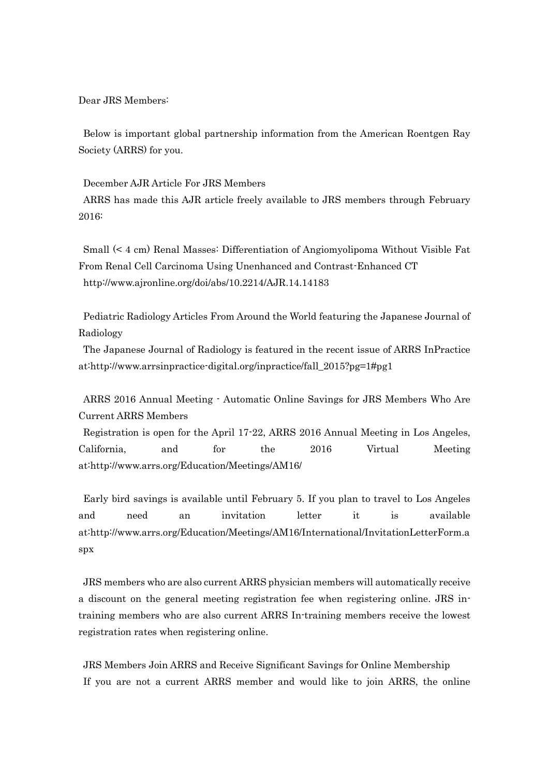Dear JRS Members:

Below is important global partnership information from the American Roentgen Ray Society (ARRS) for you.

December AJR Article For JRS Members

ARRS has made this AJR article freely available to JRS members through February 2016:

Small (< 4 cm) Renal Masses: Differentiation of Angiomyolipoma Without Visible Fat From Renal Cell Carcinoma Using Unenhanced and Contrast-Enhanced CT http://www.ajronline.org/doi/abs/10.2214/AJR.14.14183

Pediatric Radiology Articles From Around the World featuring the Japanese Journal of Radiology

The Japanese Journal of Radiology is featured in the recent issue of ARRS InPractice at:http://www.arrsinpractice-digital.org/inpractice/fall\_2015?pg=1#pg1

ARRS 2016 Annual Meeting - Automatic Online Savings for JRS Members Who Are Current ARRS Members

Registration is open for the April 17-22, ARRS 2016 Annual Meeting in Los Angeles, California, and for the 2016 Virtual Meeting at:http://www.arrs.org/Education/Meetings/AM16/

Early bird savings is available until February 5. If you plan to travel to Los Angeles and need an invitation letter it is available at:http://www.arrs.org/Education/Meetings/AM16/International/InvitationLetterForm.a spx

JRS members who are also current ARRS physician members will automatically receive a discount on the general meeting registration fee when registering online. JRS intraining members who are also current ARRS In-training members receive the lowest registration rates when registering online.

JRS Members Join ARRS and Receive Significant Savings for Online Membership If you are not a current ARRS member and would like to join ARRS, the online